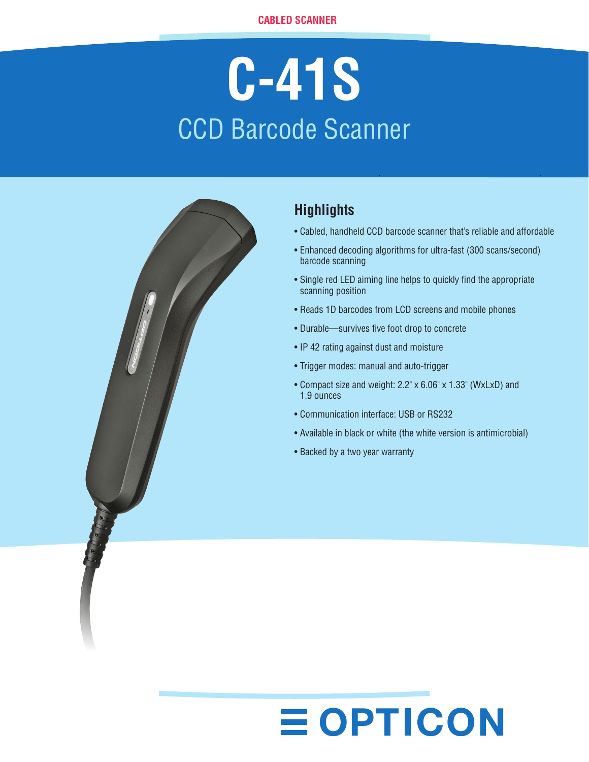# **C-41S** CCD Barcode Scanner



### **Highlights**

- Cabled, handheld CCD barcode scanner that's reliable and affordable
- Enhanced decoding algorithms for ultra-fast (300 scans/second) barcode scanning
- Single red LED aiming line helps to quickly find the appropriate scanning position
- Reads 1D barcodes from LCD screens and mobile phones
- Durable—survives five foot drop to concrete
- IP 42 rating against dust and moisture
- Trigger modes: manual and auto-trigger
- Compact size and weight: 2.2" x 6.06" x 1.33" (WxLxD) and 1.9 ounces
- Communication interface: USB or RS232

**EOPTICON** 

- Available in black or white (the white version is antimicrobial)
- Backed by a two year warranty